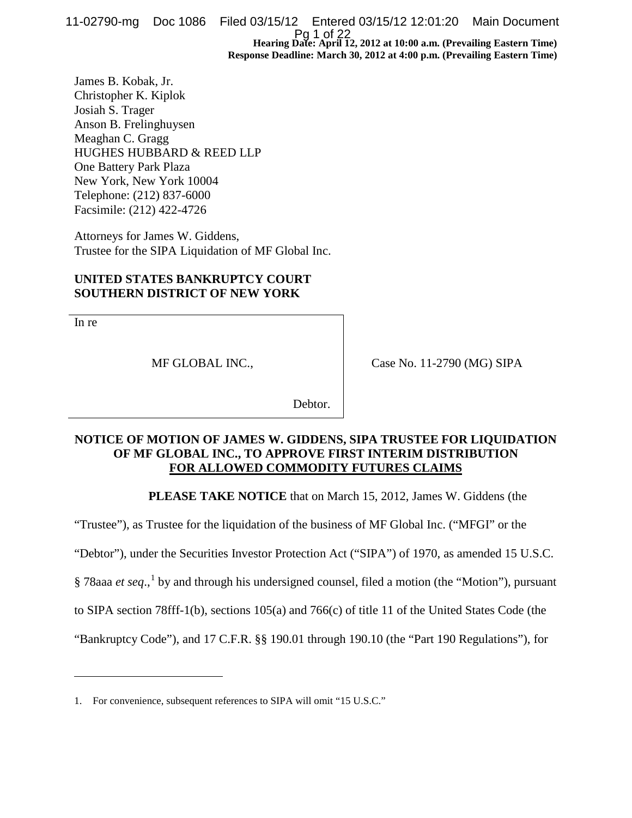**Hearing Date: April 12, 2012 at 10:00 a.m. (Prevailing Eastern Time) Response Deadline: March 30, 2012 at 4:00 p.m. (Prevailing Eastern Time)** 11-02790-mg Doc 1086 Filed 03/15/12 Entered 03/15/12 12:01:20 Main Document Pg 1 of 22

James B. Kobak, Jr. Christopher K. Kiplok Josiah S. Trager Anson B. Frelinghuysen Meaghan C. Gragg HUGHES HUBBARD & REED LLP One Battery Park Plaza New York, New York 10004 Telephone: (212) 837-6000 Facsimile: (212) 422-4726

Attorneys for James W. Giddens, Trustee for the SIPA Liquidation of MF Global Inc.

## **UNITED STATES BANKRUPTCY COURT SOUTHERN DISTRICT OF NEW YORK**

In re

 $\overline{a}$ 

MF GLOBAL INC.,

Case No. 11-2790 (MG) SIPA

Debtor.

# **NOTICE OF MOTION OF JAMES W. GIDDENS, SIPA TRUSTEE FOR LIQUIDATION OF MF GLOBAL INC., TO APPROVE FIRST INTERIM DISTRIBUTION FOR ALLOWED COMMODITY FUTURES CLAIMS**

**PLEASE TAKE NOTICE** that on March 15, 2012, James W. Giddens (the

"Trustee"), as Trustee for the liquidation of the business of MF Global Inc. ("MFGI" or the

"Debtor"), under the Securities Investor Protection Act ("SIPA") of 1970, as amended 15 U.S.C.

§ 78aaa *et seq*.,<sup>[1](#page-0-0)</sup> by and through his undersigned counsel, filed a motion (the "Motion"), pursuant

to SIPA section 78fff-1(b), sections 105(a) and 766(c) of title 11 of the United States Code (the

"Bankruptcy Code"), and 17 C.F.R. §§ 190.01 through 190.10 (the "Part 190 Regulations"), for

<span id="page-0-0"></span><sup>1.</sup> For convenience, subsequent references to SIPA will omit "15 U.S.C."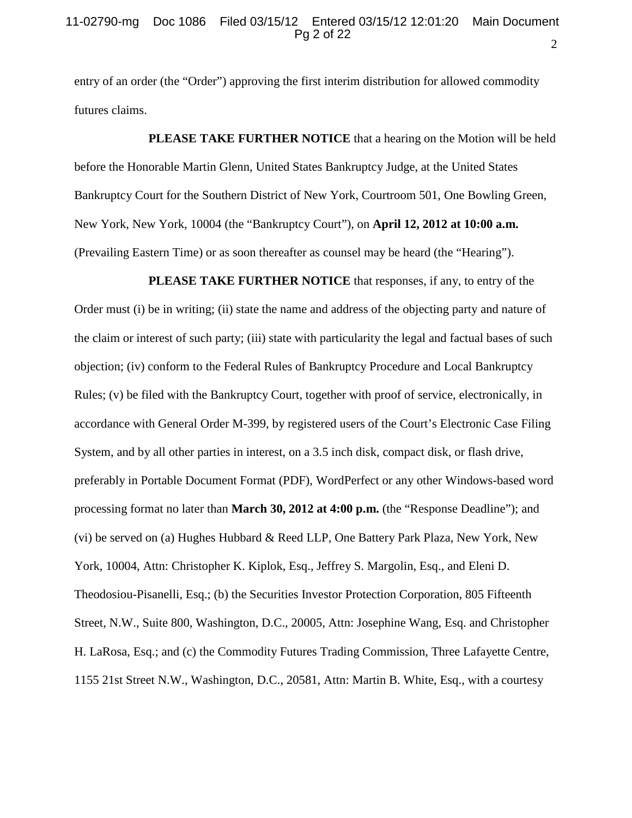entry of an order (the "Order") approving the first interim distribution for allowed commodity futures claims.

**PLEASE TAKE FURTHER NOTICE** that a hearing on the Motion will be held before the Honorable Martin Glenn, United States Bankruptcy Judge, at the United States Bankruptcy Court for the Southern District of New York, Courtroom 501, One Bowling Green, New York, New York, 10004 (the "Bankruptcy Court"), on **April 12, 2012 at 10:00 a.m.** (Prevailing Eastern Time) or as soon thereafter as counsel may be heard (the "Hearing").

**PLEASE TAKE FURTHER NOTICE** that responses, if any, to entry of the Order must (i) be in writing; (ii) state the name and address of the objecting party and nature of the claim or interest of such party; (iii) state with particularity the legal and factual bases of such objection; (iv) conform to the Federal Rules of Bankruptcy Procedure and Local Bankruptcy Rules; (v) be filed with the Bankruptcy Court, together with proof of service, electronically, in accordance with General Order M-399, by registered users of the Court's Electronic Case Filing System, and by all other parties in interest, on a 3.5 inch disk, compact disk, or flash drive, preferably in Portable Document Format (PDF), WordPerfect or any other Windows-based word processing format no later than **March 30, 2012 at 4:00 p.m.** (the "Response Deadline"); and (vi) be served on (a) Hughes Hubbard & Reed LLP, One Battery Park Plaza, New York, New York, 10004, Attn: Christopher K. Kiplok, Esq., Jeffrey S. Margolin, Esq., and Eleni D. Theodosiou-Pisanelli, Esq.; (b) the Securities Investor Protection Corporation, 805 Fifteenth Street, N.W., Suite 800, Washington, D.C., 20005, Attn: Josephine Wang, Esq. and Christopher H. LaRosa, Esq.; and (c) the Commodity Futures Trading Commission, Three Lafayette Centre, 1155 21st Street N.W., Washington, D.C., 20581, Attn: Martin B. White, Esq., with a courtesy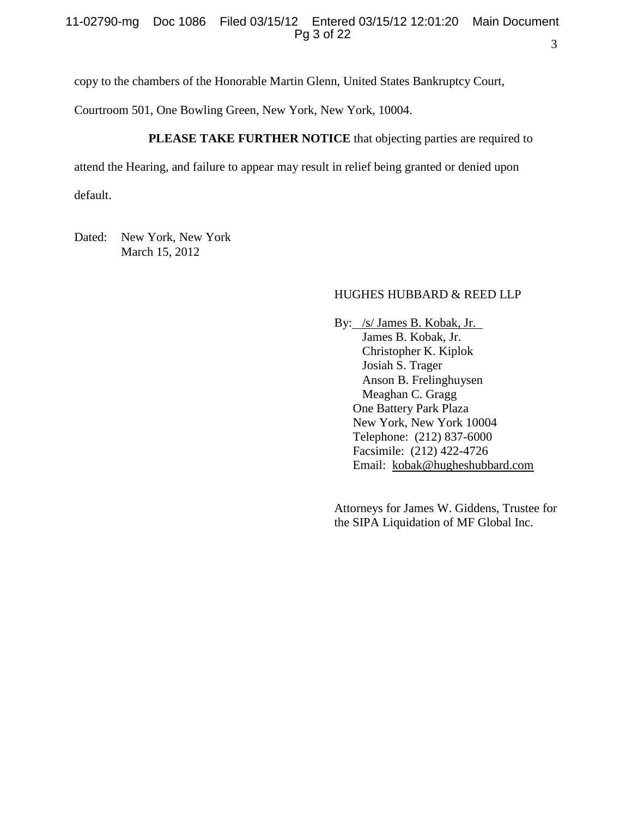copy to the chambers of the Honorable Martin Glenn, United States Bankruptcy Court,

Courtroom 501, One Bowling Green, New York, New York, 10004.

# **PLEASE TAKE FURTHER NOTICE** that objecting parties are required to

attend the Hearing, and failure to appear may result in relief being granted or denied upon

default.

Dated: New York, New York March 15, 2012

## HUGHES HUBBARD & REED LLP

By: /s/ James B. Kobak, Jr. James B. Kobak, Jr. Christopher K. Kiplok Josiah S. Trager Anson B. Frelinghuysen Meaghan C. Gragg One Battery Park Plaza New York, New York 10004 Telephone: (212) 837-6000 Facsimile: (212) 422-4726 Email: [kobak@hugheshubbard.com](mailto:kobak@hugheshubbard.com)

Attorneys for James W. Giddens, Trustee for the SIPA Liquidation of MF Global Inc.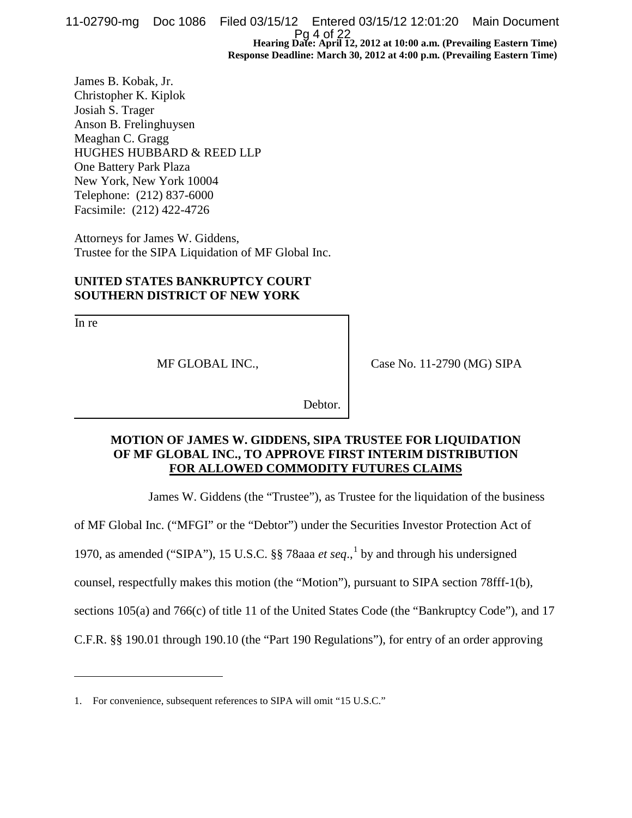**Hearing Date: April 12, 2012 at 10:00 a.m. (Prevailing Eastern Time) Response Deadline: March 30, 2012 at 4:00 p.m. (Prevailing Eastern Time)** 11-02790-mg Doc 1086 Filed 03/15/12 Entered 03/15/12 12:01:20 Main Document Pg 4 of 22

James B. Kobak, Jr. Christopher K. Kiplok Josiah S. Trager Anson B. Frelinghuysen Meaghan C. Gragg HUGHES HUBBARD & REED LLP One Battery Park Plaza New York, New York 10004 Telephone: (212) 837-6000 Facsimile: (212) 422-4726

Attorneys for James W. Giddens, Trustee for the SIPA Liquidation of MF Global Inc.

# **UNITED STATES BANKRUPTCY COURT SOUTHERN DISTRICT OF NEW YORK**

In re

 $\overline{a}$ 

MF GLOBAL INC.,

Case No. 11-2790 (MG) SIPA

Debtor.

# **MOTION OF JAMES W. GIDDENS, SIPA TRUSTEE FOR LIQUIDATION OF MF GLOBAL INC., TO APPROVE FIRST INTERIM DISTRIBUTION FOR ALLOWED COMMODITY FUTURES CLAIMS**

James W. Giddens (the "Trustee"), as Trustee for the liquidation of the business

of MF Global Inc. ("MFGI" or the "Debtor") under the Securities Investor Protection Act of

[1](#page-3-0)970, as amended ("SIPA"), 15 U.S.C. §§ 78aaa  $et seq.$ <sup>1</sup> by and through his undersigned

counsel, respectfully makes this motion (the "Motion"), pursuant to SIPA section 78fff-1(b),

sections 105(a) and 766(c) of title 11 of the United States Code (the "Bankruptcy Code"), and 17

C.F.R. §§ 190.01 through 190.10 (the "Part 190 Regulations"), for entry of an order approving

<span id="page-3-0"></span><sup>1.</sup> For convenience, subsequent references to SIPA will omit "15 U.S.C."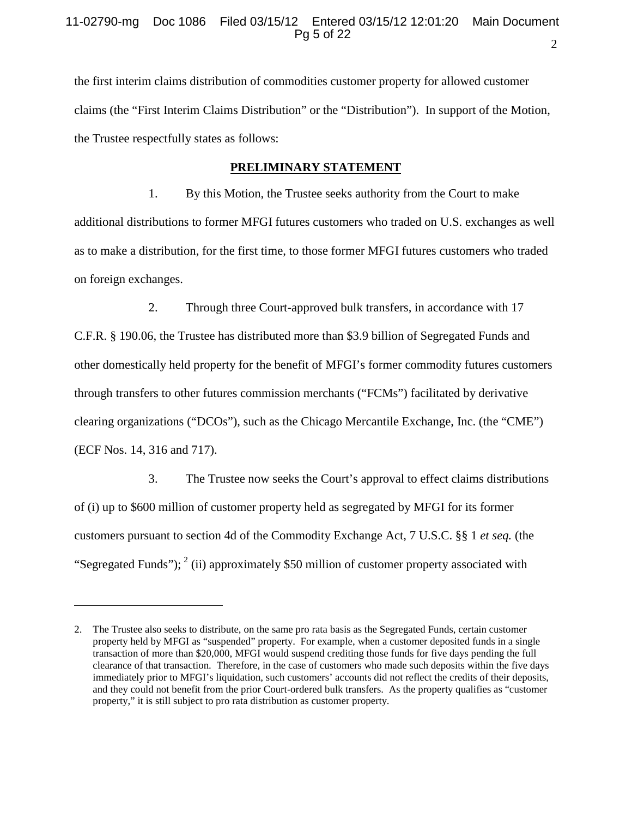the first interim claims distribution of commodities customer property for allowed customer claims (the "First Interim Claims Distribution" or the "Distribution"). In support of the Motion, the Trustee respectfully states as follows:

## **PRELIMINARY STATEMENT**

1. By this Motion, the Trustee seeks authority from the Court to make additional distributions to former MFGI futures customers who traded on U.S. exchanges as well as to make a distribution, for the first time, to those former MFGI futures customers who traded on foreign exchanges.

2. Through three Court-approved bulk transfers, in accordance with 17 C.F.R. § 190.06, the Trustee has distributed more than \$3.9 billion of Segregated Funds and other domestically held property for the benefit of MFGI's former commodity futures customers through transfers to other futures commission merchants ("FCMs") facilitated by derivative clearing organizations ("DCOs"), such as the Chicago Mercantile Exchange, Inc. (the "CME") (ECF Nos. 14, 316 and 717).

3. The Trustee now seeks the Court's approval to effect claims distributions of (i) up to \$600 million of customer property held as segregated by MFGI for its former customers pursuant to section 4d of the Commodity Exchange Act, 7 U.S.C. §§ 1 *et seq.* (the "Segregated Funds");  $2$  (ii) approximately \$50 million of customer property associated with

 $\overline{a}$ 

<span id="page-4-0"></span><sup>2.</sup> The Trustee also seeks to distribute, on the same pro rata basis as the Segregated Funds, certain customer property held by MFGI as "suspended" property. For example, when a customer deposited funds in a single transaction of more than \$20,000, MFGI would suspend crediting those funds for five days pending the full clearance of that transaction. Therefore, in the case of customers who made such deposits within the five days immediately prior to MFGI's liquidation, such customers' accounts did not reflect the credits of their deposits, and they could not benefit from the prior Court-ordered bulk transfers. As the property qualifies as "customer property," it is still subject to pro rata distribution as customer property.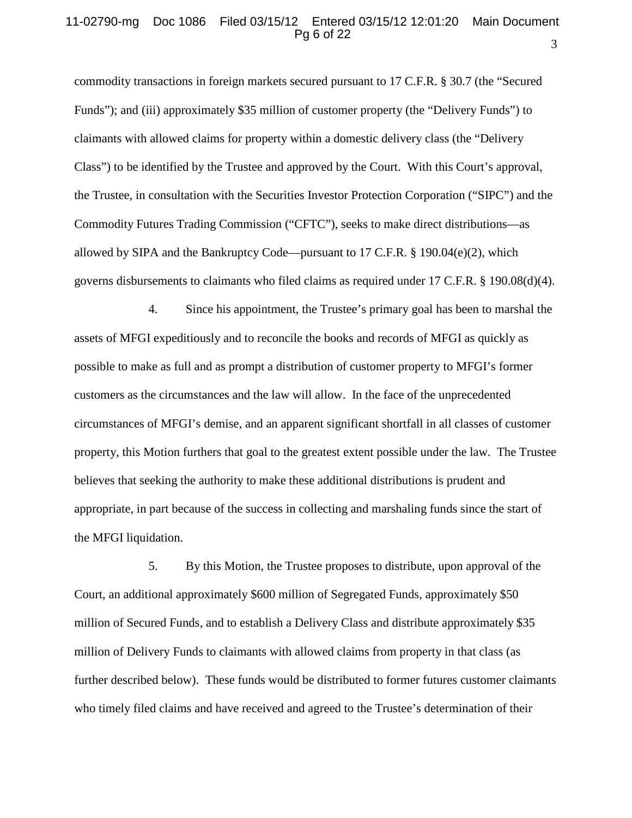#### 3 11-02790-mg Doc 1086 Filed 03/15/12 Entered 03/15/12 12:01:20 Main Document Pg 6 of 22

commodity transactions in foreign markets secured pursuant to 17 C.F.R. § 30.7 (the "Secured Funds"); and (iii) approximately \$35 million of customer property (the "Delivery Funds") to claimants with allowed claims for property within a domestic delivery class (the "Delivery Class") to be identified by the Trustee and approved by the Court. With this Court's approval, the Trustee, in consultation with the Securities Investor Protection Corporation ("SIPC") and the Commodity Futures Trading Commission ("CFTC"), seeks to make direct distributions—as allowed by SIPA and the Bankruptcy Code—pursuant to 17 C.F.R. § 190.04(e)(2), which governs disbursements to claimants who filed claims as required under 17 C.F.R. § 190.08(d)(4).

4. Since his appointment, the Trustee's primary goal has been to marshal the assets of MFGI expeditiously and to reconcile the books and records of MFGI as quickly as possible to make as full and as prompt a distribution of customer property to MFGI's former customers as the circumstances and the law will allow. In the face of the unprecedented circumstances of MFGI's demise, and an apparent significant shortfall in all classes of customer property, this Motion furthers that goal to the greatest extent possible under the law. The Trustee believes that seeking the authority to make these additional distributions is prudent and appropriate, in part because of the success in collecting and marshaling funds since the start of the MFGI liquidation.

5. By this Motion, the Trustee proposes to distribute, upon approval of the Court, an additional approximately \$600 million of Segregated Funds, approximately \$50 million of Secured Funds, and to establish a Delivery Class and distribute approximately \$35 million of Delivery Funds to claimants with allowed claims from property in that class (as further described below). These funds would be distributed to former futures customer claimants who timely filed claims and have received and agreed to the Trustee's determination of their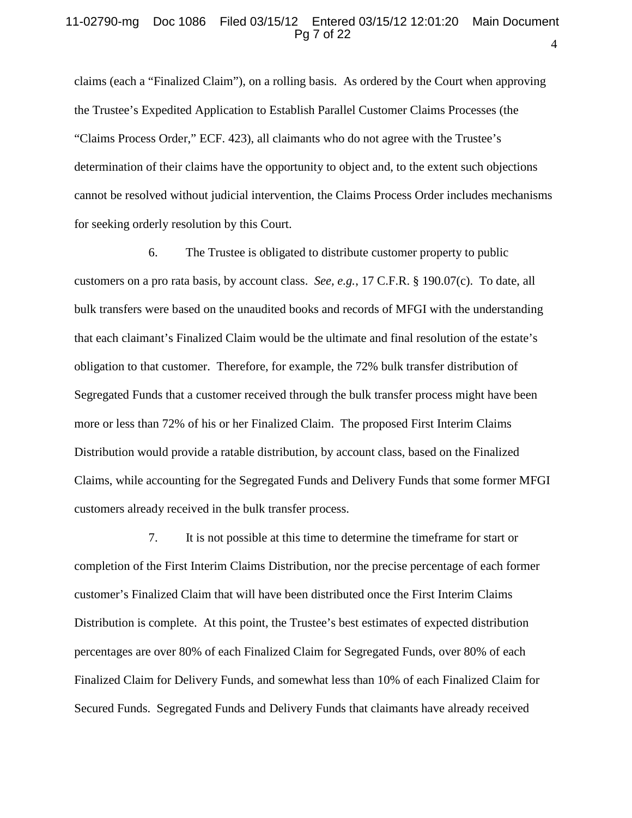#### 4 11-02790-mg Doc 1086 Filed 03/15/12 Entered 03/15/12 12:01:20 Main Document Pg 7 of 22

claims (each a "Finalized Claim"), on a rolling basis. As ordered by the Court when approving the Trustee's Expedited Application to Establish Parallel Customer Claims Processes (the "Claims Process Order," ECF. 423), all claimants who do not agree with the Trustee's determination of their claims have the opportunity to object and, to the extent such objections cannot be resolved without judicial intervention, the Claims Process Order includes mechanisms for seeking orderly resolution by this Court.

6. The Trustee is obligated to distribute customer property to public customers on a pro rata basis, by account class. *See, e.g.*, 17 C.F.R. § 190.07(c). To date, all bulk transfers were based on the unaudited books and records of MFGI with the understanding that each claimant's Finalized Claim would be the ultimate and final resolution of the estate's obligation to that customer. Therefore, for example, the 72% bulk transfer distribution of Segregated Funds that a customer received through the bulk transfer process might have been more or less than 72% of his or her Finalized Claim. The proposed First Interim Claims Distribution would provide a ratable distribution, by account class, based on the Finalized Claims, while accounting for the Segregated Funds and Delivery Funds that some former MFGI customers already received in the bulk transfer process.

7. It is not possible at this time to determine the timeframe for start or completion of the First Interim Claims Distribution, nor the precise percentage of each former customer's Finalized Claim that will have been distributed once the First Interim Claims Distribution is complete. At this point, the Trustee's best estimates of expected distribution percentages are over 80% of each Finalized Claim for Segregated Funds, over 80% of each Finalized Claim for Delivery Funds, and somewhat less than 10% of each Finalized Claim for Secured Funds. Segregated Funds and Delivery Funds that claimants have already received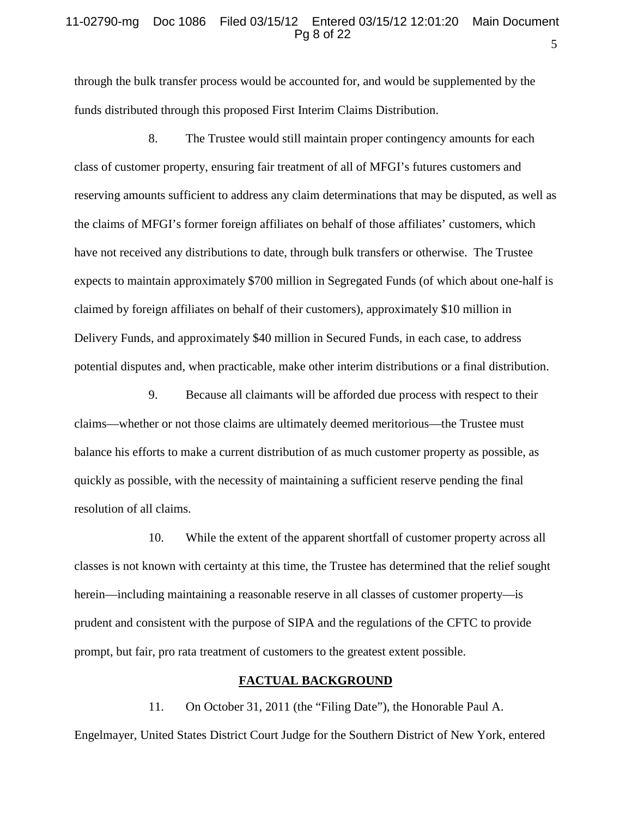#### 5 11-02790-mg Doc 1086 Filed 03/15/12 Entered 03/15/12 12:01:20 Main Document Pg 8 of 22

through the bulk transfer process would be accounted for, and would be supplemented by the funds distributed through this proposed First Interim Claims Distribution.

8. The Trustee would still maintain proper contingency amounts for each class of customer property, ensuring fair treatment of all of MFGI's futures customers and reserving amounts sufficient to address any claim determinations that may be disputed, as well as the claims of MFGI's former foreign affiliates on behalf of those affiliates' customers, which have not received any distributions to date, through bulk transfers or otherwise. The Trustee expects to maintain approximately \$700 million in Segregated Funds (of which about one-half is claimed by foreign affiliates on behalf of their customers), approximately \$10 million in Delivery Funds, and approximately \$40 million in Secured Funds, in each case, to address potential disputes and, when practicable, make other interim distributions or a final distribution.

9. Because all claimants will be afforded due process with respect to their claims—whether or not those claims are ultimately deemed meritorious—the Trustee must balance his efforts to make a current distribution of as much customer property as possible, as quickly as possible, with the necessity of maintaining a sufficient reserve pending the final resolution of all claims.

10. While the extent of the apparent shortfall of customer property across all classes is not known with certainty at this time, the Trustee has determined that the relief sought herein—including maintaining a reasonable reserve in all classes of customer property—is prudent and consistent with the purpose of SIPA and the regulations of the CFTC to provide prompt, but fair, pro rata treatment of customers to the greatest extent possible.

## **FACTUAL BACKGROUND**

11. On October 31, 2011 (the "Filing Date"), the Honorable Paul A. Engelmayer, United States District Court Judge for the Southern District of New York, entered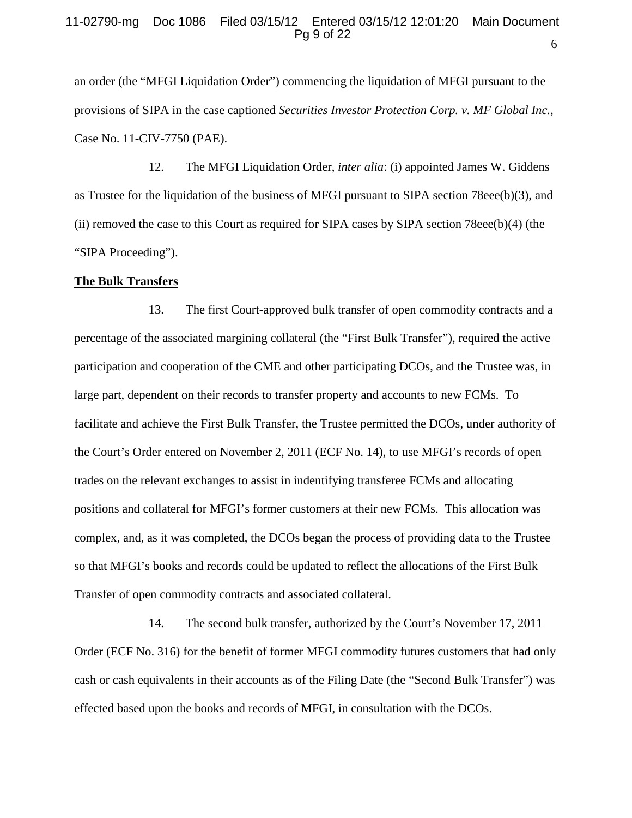an order (the "MFGI Liquidation Order") commencing the liquidation of MFGI pursuant to the provisions of SIPA in the case captioned *Securities Investor Protection Corp. v. MF Global Inc.*, Case No. 11-CIV-7750 (PAE).

12. The MFGI Liquidation Order, *inter alia*: (i) appointed James W. Giddens as Trustee for the liquidation of the business of MFGI pursuant to SIPA section 78eee(b)(3), and (ii) removed the case to this Court as required for SIPA cases by SIPA section 78eee(b)(4) (the "SIPA Proceeding").

#### **The Bulk Transfers**

13. The first Court-approved bulk transfer of open commodity contracts and a percentage of the associated margining collateral (the "First Bulk Transfer"), required the active participation and cooperation of the CME and other participating DCOs, and the Trustee was, in large part, dependent on their records to transfer property and accounts to new FCMs. To facilitate and achieve the First Bulk Transfer, the Trustee permitted the DCOs, under authority of the Court's Order entered on November 2, 2011 (ECF No. 14), to use MFGI's records of open trades on the relevant exchanges to assist in indentifying transferee FCMs and allocating positions and collateral for MFGI's former customers at their new FCMs. This allocation was complex, and, as it was completed, the DCOs began the process of providing data to the Trustee so that MFGI's books and records could be updated to reflect the allocations of the First Bulk Transfer of open commodity contracts and associated collateral.

14. The second bulk transfer, authorized by the Court's November 17, 2011 Order (ECF No. 316) for the benefit of former MFGI commodity futures customers that had only cash or cash equivalents in their accounts as of the Filing Date (the "Second Bulk Transfer") was effected based upon the books and records of MFGI, in consultation with the DCOs.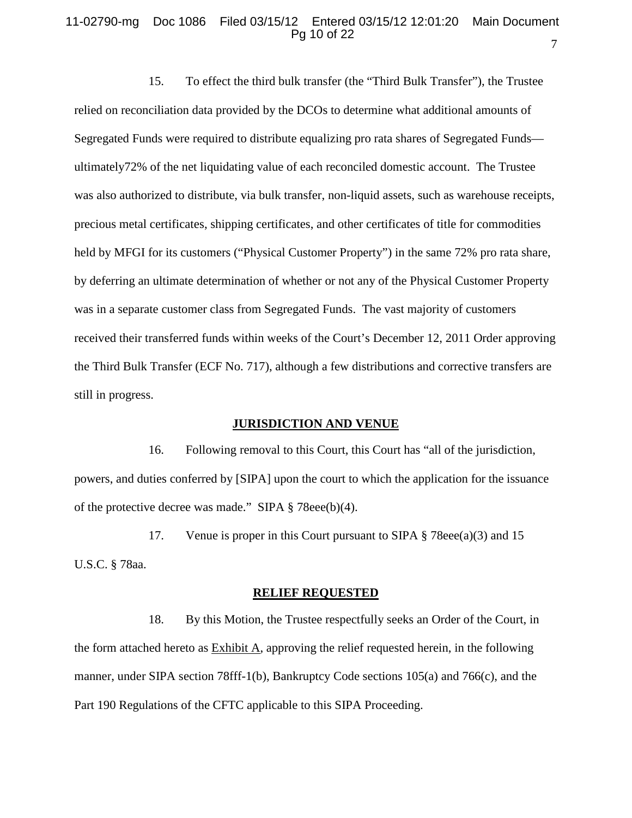#### 11-02790-mg Doc 1086 Filed 03/15/12 Entered 03/15/12 12:01:20 Main Document Pg 10 of 22

15. To effect the third bulk transfer (the "Third Bulk Transfer"), the Trustee relied on reconciliation data provided by the DCOs to determine what additional amounts of Segregated Funds were required to distribute equalizing pro rata shares of Segregated Funds ultimately72% of the net liquidating value of each reconciled domestic account. The Trustee was also authorized to distribute, via bulk transfer, non-liquid assets, such as warehouse receipts, precious metal certificates, shipping certificates, and other certificates of title for commodities held by MFGI for its customers ("Physical Customer Property") in the same 72% pro rata share, by deferring an ultimate determination of whether or not any of the Physical Customer Property was in a separate customer class from Segregated Funds. The vast majority of customers received their transferred funds within weeks of the Court's December 12, 2011 Order approving the Third Bulk Transfer (ECF No. 717), although a few distributions and corrective transfers are still in progress.

## **JURISDICTION AND VENUE**

16. Following removal to this Court, this Court has "all of the jurisdiction, powers, and duties conferred by [SIPA] upon the court to which the application for the issuance of the protective decree was made." SIPA § 78eee(b)(4).

17. Venue is proper in this Court pursuant to SIPA § 78eee(a)(3) and 15 U.S.C. § 78aa.

#### **RELIEF REQUESTED**

18. By this Motion, the Trustee respectfully seeks an Order of the Court, in the form attached hereto as Exhibit A, approving the relief requested herein, in the following manner, under SIPA section 78fff-1(b), Bankruptcy Code sections 105(a) and 766(c), and the Part 190 Regulations of the CFTC applicable to this SIPA Proceeding.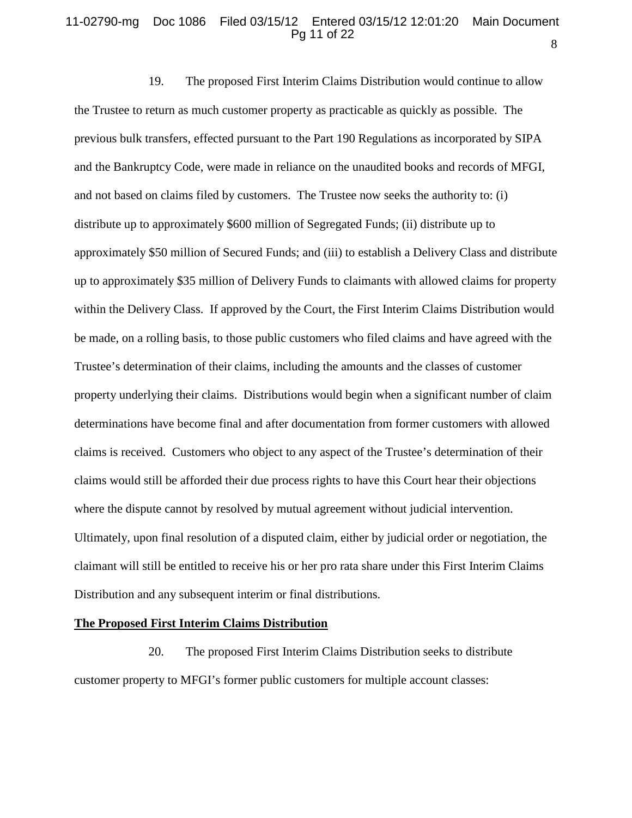## 11-02790-mg Doc 1086 Filed 03/15/12 Entered 03/15/12 12:01:20 Main Document Pg 11 of 22

19. The proposed First Interim Claims Distribution would continue to allow the Trustee to return as much customer property as practicable as quickly as possible. The previous bulk transfers, effected pursuant to the Part 190 Regulations as incorporated by SIPA and the Bankruptcy Code, were made in reliance on the unaudited books and records of MFGI, and not based on claims filed by customers. The Trustee now seeks the authority to: (i) distribute up to approximately \$600 million of Segregated Funds; (ii) distribute up to approximately \$50 million of Secured Funds; and (iii) to establish a Delivery Class and distribute up to approximately \$35 million of Delivery Funds to claimants with allowed claims for property within the Delivery Class. If approved by the Court, the First Interim Claims Distribution would be made, on a rolling basis, to those public customers who filed claims and have agreed with the Trustee's determination of their claims, including the amounts and the classes of customer property underlying their claims. Distributions would begin when a significant number of claim determinations have become final and after documentation from former customers with allowed claims is received. Customers who object to any aspect of the Trustee's determination of their claims would still be afforded their due process rights to have this Court hear their objections where the dispute cannot by resolved by mutual agreement without judicial intervention. Ultimately, upon final resolution of a disputed claim, either by judicial order or negotiation, the claimant will still be entitled to receive his or her pro rata share under this First Interim Claims Distribution and any subsequent interim or final distributions.

#### **The Proposed First Interim Claims Distribution**

20. The proposed First Interim Claims Distribution seeks to distribute customer property to MFGI's former public customers for multiple account classes:

8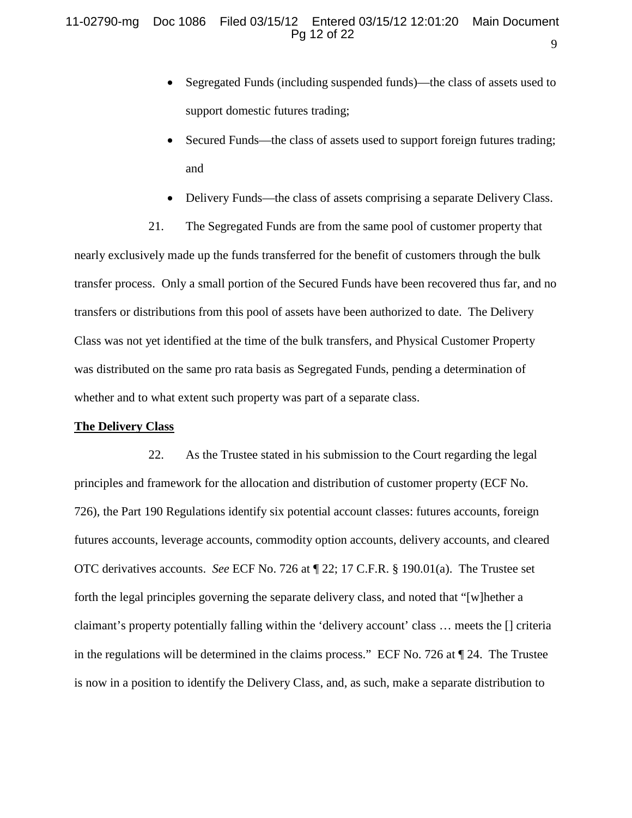- Segregated Funds (including suspended funds)—the class of assets used to support domestic futures trading;
- Secured Funds—the class of assets used to support foreign futures trading; and
- Delivery Funds—the class of assets comprising a separate Delivery Class.

21. The Segregated Funds are from the same pool of customer property that nearly exclusively made up the funds transferred for the benefit of customers through the bulk transfer process. Only a small portion of the Secured Funds have been recovered thus far, and no transfers or distributions from this pool of assets have been authorized to date. The Delivery Class was not yet identified at the time of the bulk transfers, and Physical Customer Property was distributed on the same pro rata basis as Segregated Funds, pending a determination of whether and to what extent such property was part of a separate class.

### **The Delivery Class**

22. As the Trustee stated in his submission to the Court regarding the legal principles and framework for the allocation and distribution of customer property (ECF No. 726), the Part 190 Regulations identify six potential account classes: futures accounts, foreign futures accounts, leverage accounts, commodity option accounts, delivery accounts, and cleared OTC derivatives accounts. *See* ECF No. 726 at ¶ 22; 17 C.F.R. § 190.01(a). The Trustee set forth the legal principles governing the separate delivery class, and noted that "[w]hether a claimant's property potentially falling within the 'delivery account' class … meets the [] criteria in the regulations will be determined in the claims process." ECF No. 726 at ¶ 24. The Trustee is now in a position to identify the Delivery Class, and, as such, make a separate distribution to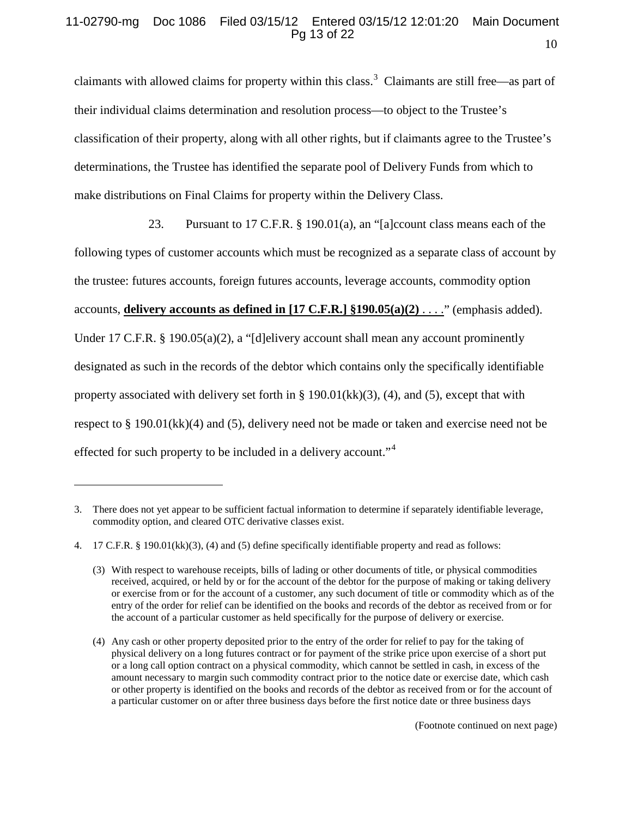#### 10 11-02790-mg Doc 1086 Filed 03/15/12 Entered 03/15/12 12:01:20 Main Document Pg 13 of 22

claimants with allowed claims for property within this class.<sup>[3](#page-12-0)</sup> Claimants are still free—as part of their individual claims determination and resolution process—to object to the Trustee's classification of their property, along with all other rights, but if claimants agree to the Trustee's determinations, the Trustee has identified the separate pool of Delivery Funds from which to make distributions on Final Claims for property within the Delivery Class.

23. Pursuant to 17 C.F.R. § 190.01(a), an "[a]ccount class means each of the following types of customer accounts which must be recognized as a separate class of account by the trustee: futures accounts, foreign futures accounts, leverage accounts, commodity option accounts, **delivery accounts as defined in [17 C.F.R.] §190.05(a)(2)** . . . ." (emphasis added). Under 17 C.F.R. § 190.05(a)(2), a "[d]elivery account shall mean any account prominently designated as such in the records of the debtor which contains only the specifically identifiable property associated with delivery set forth in  $\S$  190.01(kk)(3), (4), and (5), except that with respect to § 190.01(kk)(4) and (5), delivery need not be made or taken and exercise need not be effected for such property to be included in a delivery account."<sup>[4](#page-12-1)</sup>

 $\overline{a}$ 

<span id="page-12-0"></span><sup>3.</sup> There does not yet appear to be sufficient factual information to determine if separately identifiable leverage, commodity option, and cleared OTC derivative classes exist.

<span id="page-12-1"></span><sup>4.</sup> 17 C.F.R. § 190.01(kk)(3), (4) and (5) define specifically identifiable property and read as follows:

<sup>(3)</sup> With respect to warehouse receipts, bills of lading or other documents of title, or physical commodities received, acquired, or held by or for the account of the debtor for the purpose of making or taking delivery or exercise from or for the account of a customer, any such document of title or commodity which as of the entry of the order for relief can be identified on the books and records of the debtor as received from or for the account of a particular customer as held specifically for the purpose of delivery or exercise.

<sup>(4)</sup> Any cash or other property deposited prior to the entry of the order for relief to pay for the taking of physical delivery on a long futures contract or for payment of the strike price upon exercise of a short put or a long call option contract on a physical commodity, which cannot be settled in cash, in excess of the amount necessary to margin such commodity contract prior to the notice date or exercise date, which cash or other property is identified on the books and records of the debtor as received from or for the account of a particular customer on or after three business days before the first notice date or three business days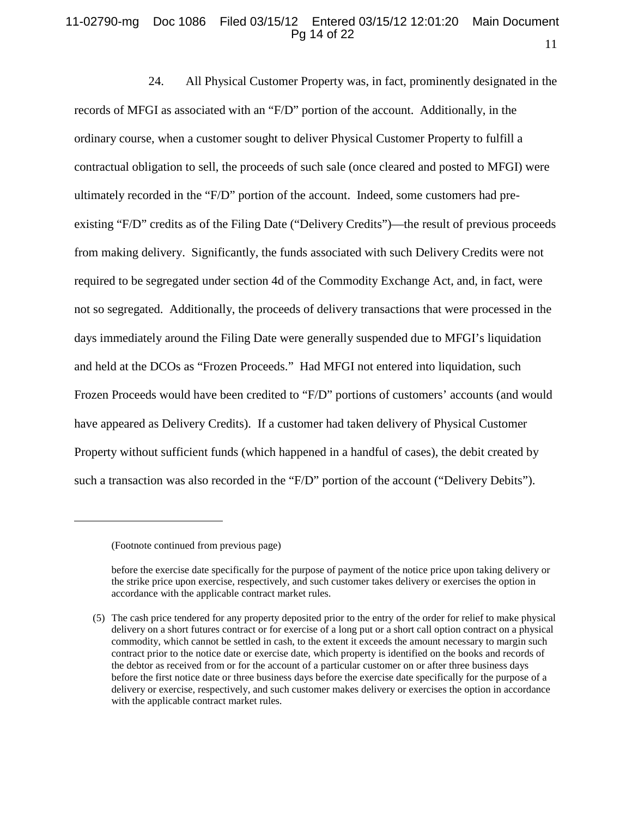#### 11 11-02790-mg Doc 1086 Filed 03/15/12 Entered 03/15/12 12:01:20 Main Document Pg 14 of 22

24. All Physical Customer Property was, in fact, prominently designated in the records of MFGI as associated with an "F/D" portion of the account. Additionally, in the ordinary course, when a customer sought to deliver Physical Customer Property to fulfill a contractual obligation to sell, the proceeds of such sale (once cleared and posted to MFGI) were ultimately recorded in the "F/D" portion of the account. Indeed, some customers had preexisting "F/D" credits as of the Filing Date ("Delivery Credits")—the result of previous proceeds from making delivery. Significantly, the funds associated with such Delivery Credits were not required to be segregated under section 4d of the Commodity Exchange Act, and, in fact, were not so segregated. Additionally, the proceeds of delivery transactions that were processed in the days immediately around the Filing Date were generally suspended due to MFGI's liquidation and held at the DCOs as "Frozen Proceeds." Had MFGI not entered into liquidation, such Frozen Proceeds would have been credited to "F/D" portions of customers' accounts (and would have appeared as Delivery Credits). If a customer had taken delivery of Physical Customer Property without sufficient funds (which happened in a handful of cases), the debit created by such a transaction was also recorded in the "F/D" portion of the account ("Delivery Debits").

 $\overline{a}$ 

<sup>(</sup>Footnote continued from previous page)

before the exercise date specifically for the purpose of payment of the notice price upon taking delivery or the strike price upon exercise, respectively, and such customer takes delivery or exercises the option in accordance with the applicable contract market rules.

<sup>(5)</sup> The cash price tendered for any property deposited prior to the entry of the order for relief to make physical delivery on a short futures contract or for exercise of a long put or a short call option contract on a physical commodity, which cannot be settled in cash, to the extent it exceeds the amount necessary to margin such contract prior to the notice date or exercise date, which property is identified on the books and records of the debtor as received from or for the account of a particular customer on or after three business days before the first notice date or three business days before the exercise date specifically for the purpose of a delivery or exercise, respectively, and such customer makes delivery or exercises the option in accordance with the applicable contract market rules.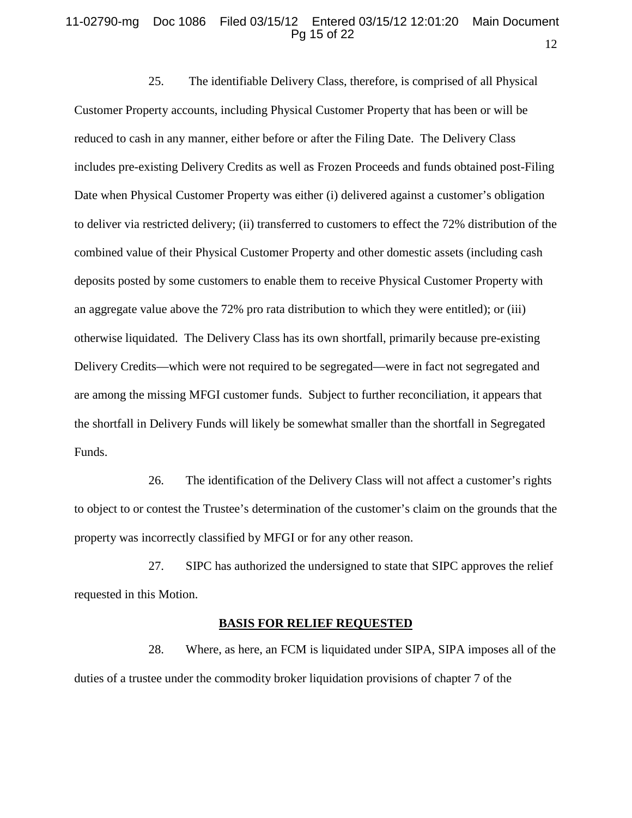#### 12 11-02790-mg Doc 1086 Filed 03/15/12 Entered 03/15/12 12:01:20 Main Document Pg 15 of 22

25. The identifiable Delivery Class, therefore, is comprised of all Physical Customer Property accounts, including Physical Customer Property that has been or will be reduced to cash in any manner, either before or after the Filing Date. The Delivery Class includes pre-existing Delivery Credits as well as Frozen Proceeds and funds obtained post-Filing Date when Physical Customer Property was either (i) delivered against a customer's obligation to deliver via restricted delivery; (ii) transferred to customers to effect the 72% distribution of the combined value of their Physical Customer Property and other domestic assets (including cash deposits posted by some customers to enable them to receive Physical Customer Property with an aggregate value above the 72% pro rata distribution to which they were entitled); or (iii) otherwise liquidated. The Delivery Class has its own shortfall, primarily because pre-existing Delivery Credits—which were not required to be segregated—were in fact not segregated and are among the missing MFGI customer funds. Subject to further reconciliation, it appears that the shortfall in Delivery Funds will likely be somewhat smaller than the shortfall in Segregated Funds.

26. The identification of the Delivery Class will not affect a customer's rights to object to or contest the Trustee's determination of the customer's claim on the grounds that the property was incorrectly classified by MFGI or for any other reason.

27. SIPC has authorized the undersigned to state that SIPC approves the relief requested in this Motion.

#### **BASIS FOR RELIEF REQUESTED**

28. Where, as here, an FCM is liquidated under SIPA, SIPA imposes all of the duties of a trustee under the commodity broker liquidation provisions of chapter 7 of the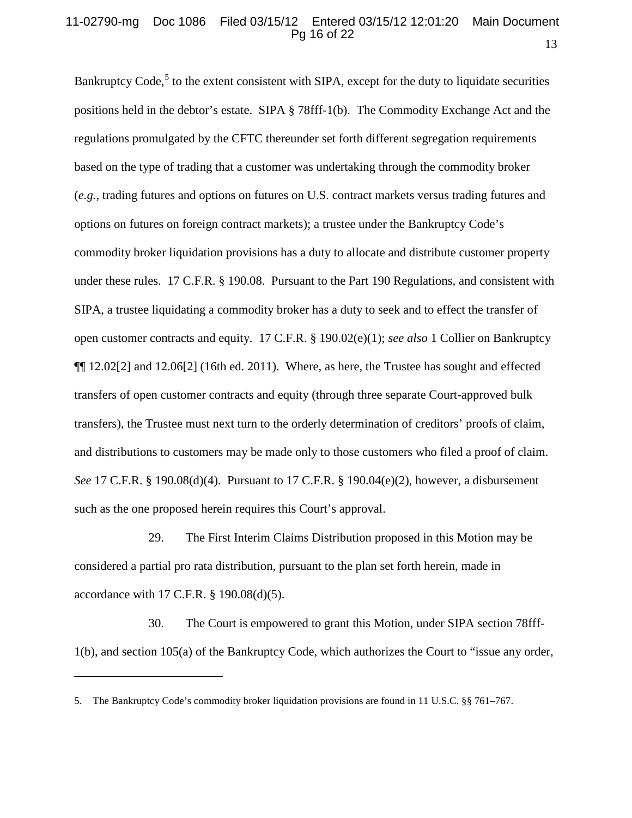#### 13 11-02790-mg Doc 1086 Filed 03/15/12 Entered 03/15/12 12:01:20 Main Document Pg 16 of 22

Bankruptcy Code,<sup>[5](#page-15-0)</sup> to the extent consistent with SIPA, except for the duty to liquidate securities positions held in the debtor's estate. SIPA § 78fff-1(b). The Commodity Exchange Act and the regulations promulgated by the CFTC thereunder set forth different segregation requirements based on the type of trading that a customer was undertaking through the commodity broker (*e.g.*, trading futures and options on futures on U.S. contract markets versus trading futures and options on futures on foreign contract markets); a trustee under the Bankruptcy Code's commodity broker liquidation provisions has a duty to allocate and distribute customer property under these rules. 17 C.F.R. § 190.08. Pursuant to the Part 190 Regulations, and consistent with SIPA, a trustee liquidating a commodity broker has a duty to seek and to effect the transfer of open customer contracts and equity. 17 C.F.R. § 190.02(e)(1); *see also* 1 Collier on Bankruptcy ¶¶ 12.02[2] and 12.06[2] (16th ed. 2011). Where, as here, the Trustee has sought and effected transfers of open customer contracts and equity (through three separate Court-approved bulk transfers), the Trustee must next turn to the orderly determination of creditors' proofs of claim, and distributions to customers may be made only to those customers who filed a proof of claim. *See* 17 C.F.R. § 190.08(d)(4). Pursuant to 17 C.F.R. § 190.04(e)(2), however, a disbursement such as the one proposed herein requires this Court's approval.

29. The First Interim Claims Distribution proposed in this Motion may be considered a partial pro rata distribution, pursuant to the plan set forth herein, made in accordance with 17 C.F.R. § 190.08(d)(5).

30. The Court is empowered to grant this Motion, under SIPA section 78fff-1(b), and section 105(a) of the Bankruptcy Code, which authorizes the Court to "issue any order,

 $\overline{a}$ 

<span id="page-15-0"></span><sup>5.</sup> The Bankruptcy Code's commodity broker liquidation provisions are found in 11 U.S.C. §§ 761–767.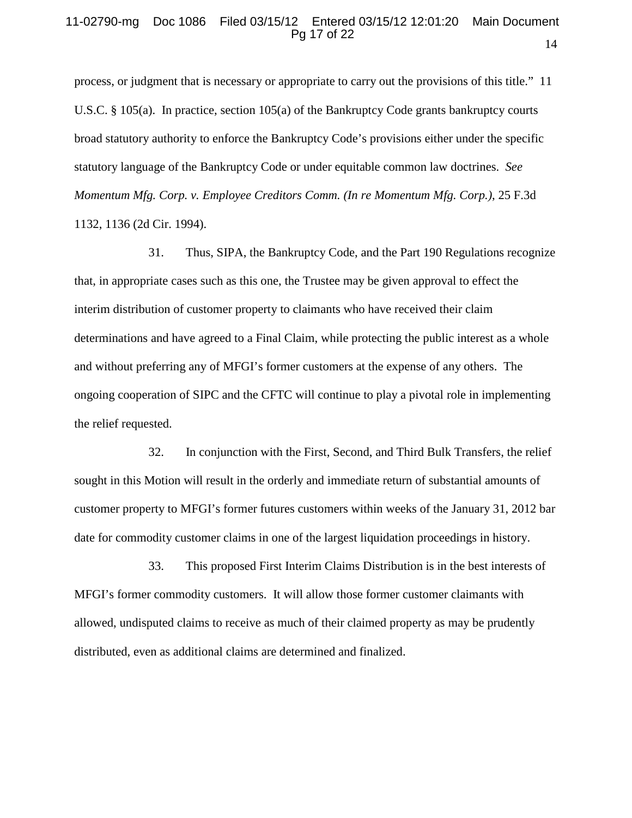## 11-02790-mg Doc 1086 Filed 03/15/12 Entered 03/15/12 12:01:20 Main Document Pg 17 of 22

process, or judgment that is necessary or appropriate to carry out the provisions of this title." 11 U.S.C. § 105(a). In practice, section 105(a) of the Bankruptcy Code grants bankruptcy courts broad statutory authority to enforce the Bankruptcy Code's provisions either under the specific statutory language of the Bankruptcy Code or under equitable common law doctrines. *See Momentum Mfg. Corp. v. Employee Creditors Comm. (In re Momentum Mfg. Corp.)*, 25 F.3d 1132, 1136 (2d Cir. 1994).

31. Thus, SIPA, the Bankruptcy Code, and the Part 190 Regulations recognize that, in appropriate cases such as this one, the Trustee may be given approval to effect the interim distribution of customer property to claimants who have received their claim determinations and have agreed to a Final Claim, while protecting the public interest as a whole and without preferring any of MFGI's former customers at the expense of any others. The ongoing cooperation of SIPC and the CFTC will continue to play a pivotal role in implementing the relief requested.

32. In conjunction with the First, Second, and Third Bulk Transfers, the relief sought in this Motion will result in the orderly and immediate return of substantial amounts of customer property to MFGI's former futures customers within weeks of the January 31, 2012 bar date for commodity customer claims in one of the largest liquidation proceedings in history.

33. This proposed First Interim Claims Distribution is in the best interests of MFGI's former commodity customers. It will allow those former customer claimants with allowed, undisputed claims to receive as much of their claimed property as may be prudently distributed, even as additional claims are determined and finalized.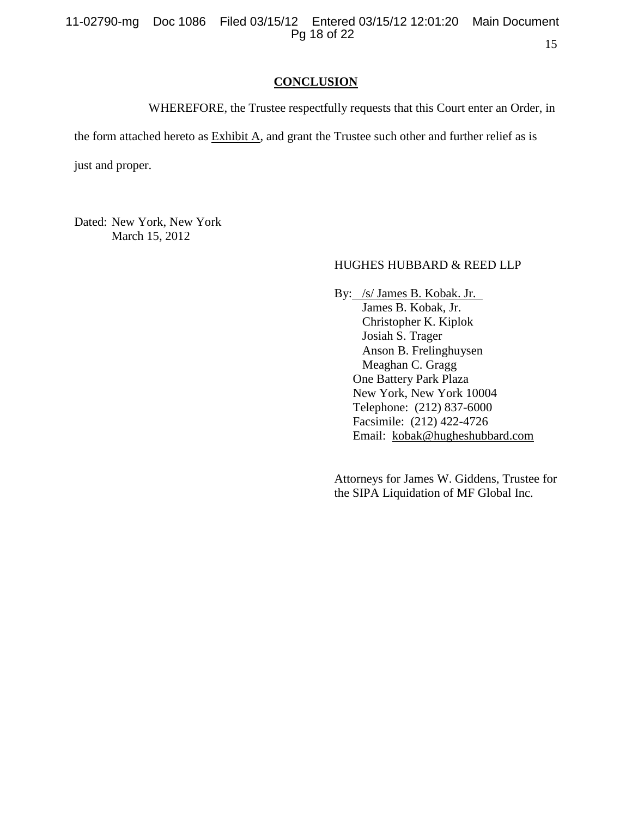## **CONCLUSION**

WHEREFORE, the Trustee respectfully requests that this Court enter an Order, in

the form attached hereto as Exhibit A, and grant the Trustee such other and further relief as is

just and proper.

Dated: New York, New York March 15, 2012

# HUGHES HUBBARD & REED LLP

By: /s/ James B. Kobak. Jr. James B. Kobak, Jr. Christopher K. Kiplok Josiah S. Trager Anson B. Frelinghuysen Meaghan C. Gragg One Battery Park Plaza New York, New York 10004 Telephone: (212) 837-6000 Facsimile: (212) 422-4726 Email: [kobak@hugheshubbard.com](mailto:kobak@hugheshubbard.com)

Attorneys for James W. Giddens, Trustee for the SIPA Liquidation of MF Global Inc.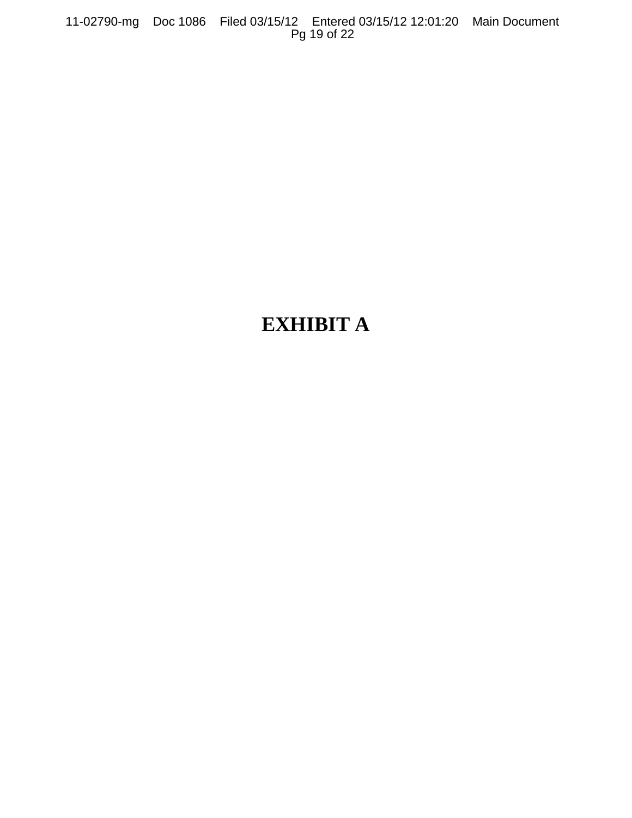11-02790-mg Doc 1086 Filed 03/15/12 Entered 03/15/12 12:01:20 Main Document Pg 19 of 22

# **EXHIBIT A**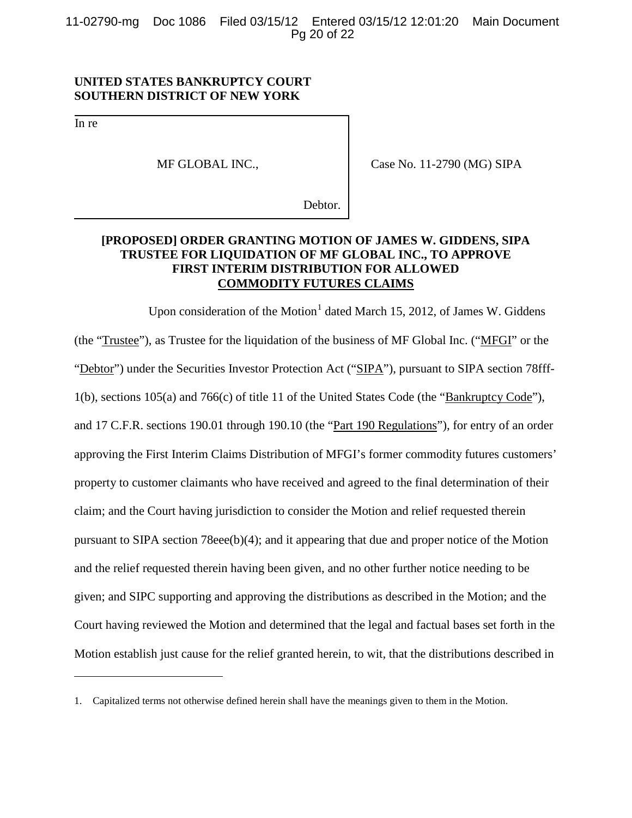11-02790-mg Doc 1086 Filed 03/15/12 Entered 03/15/12 12:01:20 Main Document Pg 20 of 22

## **UNITED STATES BANKRUPTCY COURT SOUTHERN DISTRICT OF NEW YORK**

In re

 $\overline{a}$ 

MF GLOBAL INC.,

Case No. 11-2790 (MG) SIPA

Debtor.

# **[PROPOSED] ORDER GRANTING MOTION OF JAMES W. GIDDENS, SIPA TRUSTEE FOR LIQUIDATION OF MF GLOBAL INC., TO APPROVE FIRST INTERIM DISTRIBUTION FOR ALLOWED COMMODITY FUTURES CLAIMS**

Upon consideration of the Motion<sup>[1](#page-19-0)</sup> dated March 15, 2012, of James W. Giddens (the "Trustee"), as Trustee for the liquidation of the business of MF Global Inc. ("MFGI" or the "Debtor") under the Securities Investor Protection Act ("SIPA"), pursuant to SIPA section 78fff-1(b), sections 105(a) and 766(c) of title 11 of the United States Code (the "Bankruptcy Code"), and 17 C.F.R. sections 190.01 through 190.10 (the "Part 190 Regulations"), for entry of an order approving the First Interim Claims Distribution of MFGI's former commodity futures customers' property to customer claimants who have received and agreed to the final determination of their claim; and the Court having jurisdiction to consider the Motion and relief requested therein pursuant to SIPA section 78eee(b)(4); and it appearing that due and proper notice of the Motion and the relief requested therein having been given, and no other further notice needing to be given; and SIPC supporting and approving the distributions as described in the Motion; and the Court having reviewed the Motion and determined that the legal and factual bases set forth in the Motion establish just cause for the relief granted herein, to wit, that the distributions described in

<span id="page-19-0"></span><sup>1.</sup> Capitalized terms not otherwise defined herein shall have the meanings given to them in the Motion.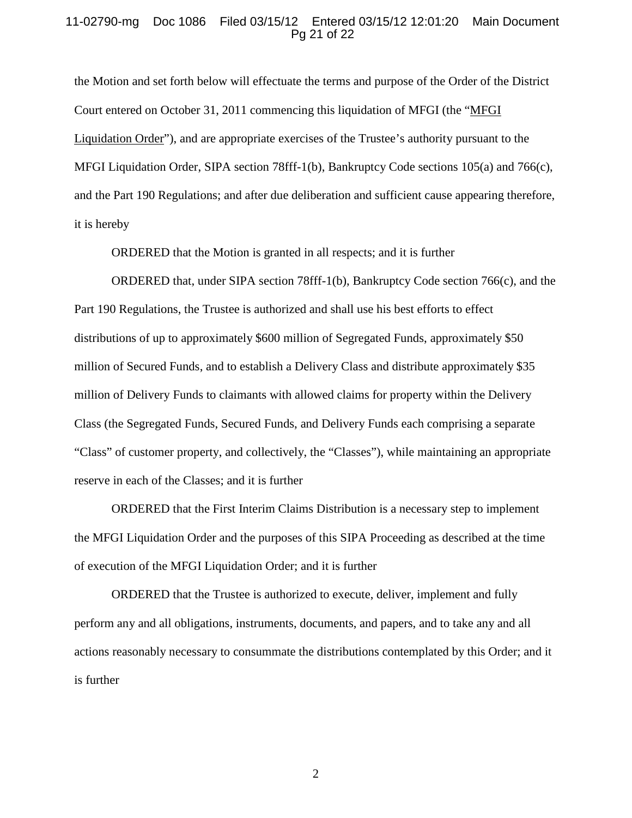#### 11-02790-mg Doc 1086 Filed 03/15/12 Entered 03/15/12 12:01:20 Main Document Pg 21 of 22

the Motion and set forth below will effectuate the terms and purpose of the Order of the District Court entered on October 31, 2011 commencing this liquidation of MFGI (the "MFGI Liquidation Order"), and are appropriate exercises of the Trustee's authority pursuant to the MFGI Liquidation Order, SIPA section 78fff-1(b), Bankruptcy Code sections 105(a) and 766(c), and the Part 190 Regulations; and after due deliberation and sufficient cause appearing therefore, it is hereby

ORDERED that the Motion is granted in all respects; and it is further

ORDERED that, under SIPA section 78fff-1(b), Bankruptcy Code section 766(c), and the Part 190 Regulations, the Trustee is authorized and shall use his best efforts to effect distributions of up to approximately \$600 million of Segregated Funds, approximately \$50 million of Secured Funds, and to establish a Delivery Class and distribute approximately \$35 million of Delivery Funds to claimants with allowed claims for property within the Delivery Class (the Segregated Funds, Secured Funds, and Delivery Funds each comprising a separate "Class" of customer property, and collectively, the "Classes"), while maintaining an appropriate reserve in each of the Classes; and it is further

ORDERED that the First Interim Claims Distribution is a necessary step to implement the MFGI Liquidation Order and the purposes of this SIPA Proceeding as described at the time of execution of the MFGI Liquidation Order; and it is further

ORDERED that the Trustee is authorized to execute, deliver, implement and fully perform any and all obligations, instruments, documents, and papers, and to take any and all actions reasonably necessary to consummate the distributions contemplated by this Order; and it is further

2